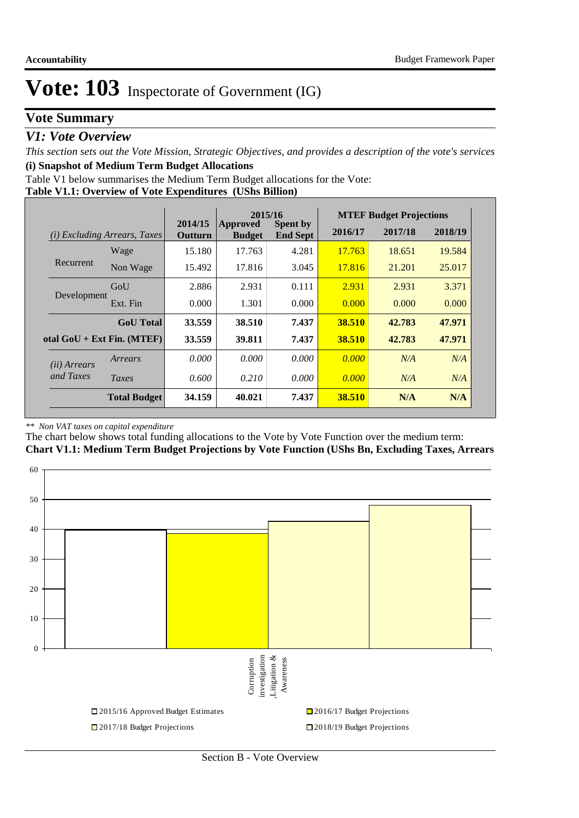## **Vote Summary**

### *V1: Vote Overview*

*This section sets out the Vote Mission, Strategic Objectives, and provides a description of the vote's services* **(i) Snapshot of Medium Term Budget Allocations** 

Table V1 below summarises the Medium Term Budget allocations for the Vote:

**Table V1.1: Overview of Vote Expenditures (UShs Billion)**

|                                        |                              | 2015/16<br>2014/15 |                           |                                    | <b>MTEF Budget Projections</b> |         |         |
|----------------------------------------|------------------------------|--------------------|---------------------------|------------------------------------|--------------------------------|---------|---------|
| <b>Excluding Arrears, Taxes</b><br>(i) |                              | Outturn            | Approved<br><b>Budget</b> | <b>Spent by</b><br><b>End Sept</b> | 2016/17                        | 2017/18 | 2018/19 |
|                                        | Wage                         | 15.180             | 17.763                    | 4.281                              | 17.763                         | 18.651  | 19.584  |
| Recurrent                              | Non Wage                     | 15.492             | 17.816                    | 3.045                              | 17.816                         | 21.201  | 25.017  |
|                                        | GoU                          | 2.886              | 2.931                     | 0.111                              | 2.931                          | 2.931   | 3.371   |
| Development                            | Ext. Fin                     | 0.000              | 1.301                     | 0.000                              | 0.000                          | 0.000   | 0.000   |
|                                        | <b>GoU</b> Total             | 33.559             | 38.510                    | 7.437                              | 38.510                         | 42.783  | 47.971  |
|                                        | otal $GoU + Ext Fin. (MTEF)$ | 33.559             | 39.811                    | 7.437                              | 38.510                         | 42.783  | 47.971  |
| ( <i>ii</i> ) Arrears                  | Arrears                      | 0.000              | 0.000                     | 0.000                              | 0.000                          | N/A     | N/A     |
| and Taxes                              | Taxes                        | 0.600              | 0.210                     | 0.000                              | 0.000                          | N/A     | N/A     |
|                                        | <b>Total Budget</b>          | 34.159             | 40.021                    | 7.437                              | 38.510                         | N/A     | N/A     |

#### *\*\* Non VAT taxes on capital expenditure*

The chart below shows total funding allocations to the Vote by Vote Function over the medium term: **Chart V1.1: Medium Term Budget Projections by Vote Function (UShs Bn, Excluding Taxes, Arrears**

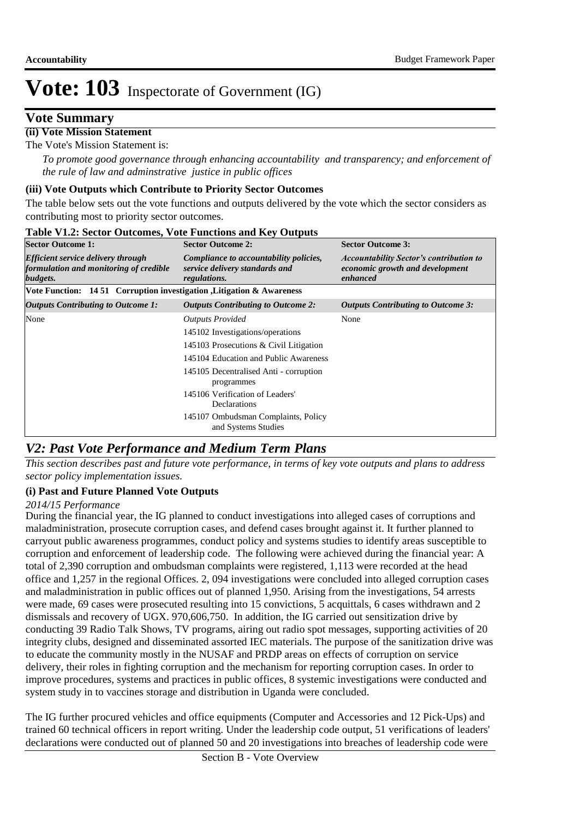### **Vote Summary**

### **(ii) Vote Mission Statement**

The Vote's Mission Statement is:

*To promote good governance through enhancing accountability and transparency; and enforcement of the rule of law and adminstrative justice in public offices*

#### **(iii) Vote Outputs which Contribute to Priority Sector Outcomes**

The table below sets out the vote functions and outputs delivered by the vote which the sector considers as contributing most to priority sector outcomes.

| <b>Sector Outcome 1:</b>                                                                        | <b>Sector Outcome 2:</b>                                                                 | <b>Sector Outcome 3:</b>                                                                      |  |
|-------------------------------------------------------------------------------------------------|------------------------------------------------------------------------------------------|-----------------------------------------------------------------------------------------------|--|
| <b>Efficient service delivery through</b><br>formulation and monitoring of credible<br>budgets. | Compliance to accountability policies,<br>service delivery standards and<br>regulations. | <b>Accountability Sector's contribution to</b><br>economic growth and development<br>enhanced |  |
| Vote Function: 14 51 Corruption investigation , Litigation & Awareness                          |                                                                                          |                                                                                               |  |
| <b>Outputs Contributing to Outcome 1:</b>                                                       | <b>Outputs Contributing to Outcome 2:</b>                                                | <b>Outputs Contributing to Outcome 3:</b>                                                     |  |
| None                                                                                            | <b>Outputs Provided</b>                                                                  | None                                                                                          |  |
|                                                                                                 | 145102 Investigations/operations                                                         |                                                                                               |  |
|                                                                                                 | 145103 Prosecutions & Civil Litigation                                                   |                                                                                               |  |
|                                                                                                 | 145104 Education and Public Awareness                                                    |                                                                                               |  |
|                                                                                                 | 145105 Decentralised Anti - corruption<br>programmes                                     |                                                                                               |  |
|                                                                                                 | 145106 Verification of Leaders'<br>Declarations                                          |                                                                                               |  |
|                                                                                                 | 145107 Ombudsman Complaints, Policy<br>and Systems Studies                               |                                                                                               |  |

#### **Table V1.2: Sector Outcomes, Vote Functions and Key Outputs**

## *V2: Past Vote Performance and Medium Term Plans*

*This section describes past and future vote performance, in terms of key vote outputs and plans to address sector policy implementation issues.* 

### **(i) Past and Future Planned Vote Outputs**

#### *2014/15 Performance*

During the financial year, the IG planned to conduct investigations into alleged cases of corruptions and maladministration, prosecute corruption cases, and defend cases brought against it. It further planned to carryout public awareness programmes, conduct policy and systems studies to identify areas susceptible to corruption and enforcement of leadership code. The following were achieved during the financial year: A total of 2,390 corruption and ombudsman complaints were registered, 1,113 were recorded at the head office and 1,257 in the regional Offices. 2, 094 investigations were concluded into alleged corruption cases and maladministration in public offices out of planned 1,950. Arising from the investigations, 54 arrests were made, 69 cases were prosecuted resulting into 15 convictions, 5 acquittals, 6 cases withdrawn and 2 dismissals and recovery of UGX. 970,606,750. In addition, the IG carried out sensitization drive by conducting 39 Radio Talk Shows, TV programs, airing out radio spot messages, supporting activities of 20 integrity clubs, designed and disseminated assorted IEC materials. The purpose of the sanitization drive was to educate the community mostly in the NUSAF and PRDP areas on effects of corruption on service delivery, their roles in fighting corruption and the mechanism for reporting corruption cases. In order to improve procedures, systems and practices in public offices, 8 systemic investigations were conducted and system study in to vaccines storage and distribution in Uganda were concluded.

The IG further procured vehicles and office equipments (Computer and Accessories and 12 Pick-Ups) and trained 60 technical officers in report writing. Under the leadership code output, 51 verifications of leaders' declarations were conducted out of planned 50 and 20 investigations into breaches of leadership code were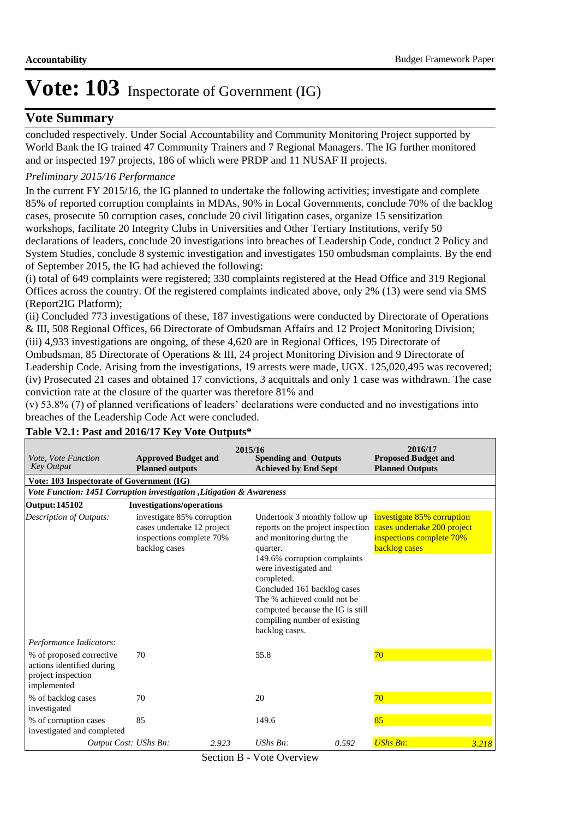### **Vote Summary**

concluded respectively. Under Social Accountability and Community Monitoring Project supported by World Bank the IG trained 47 Community Trainers and 7 Regional Managers. The IG further monitored and or inspected 197 projects, 186 of which were PRDP and 11 NUSAF II projects.

#### *Preliminary 2015/16 Performance*

In the current FY 2015/16, the IG planned to undertake the following activities; investigate and complete 85% of reported corruption complaints in MDAs, 90% in Local Governments, conclude 70% of the backlog cases, prosecute 50 corruption cases, conclude 20 civil litigation cases, organize 15 sensitization workshops, facilitate 20 Integrity Clubs in Universities and Other Tertiary Institutions, verify 50 declarations of leaders, conclude 20 investigations into breaches of Leadership Code, conduct 2 Policy and System Studies, conclude 8 systemic investigation and investigates 150 ombudsman complaints. By the end of September 2015, the IG had achieved the following:

(i) total of 649 complaints were registered; 330 complaints registered at the Head Office and 319 Regional Offices across the country. Of the registered complaints indicated above, only 2% (13) were send via SMS (Report2IG Platform);

(ii) Concluded 773 investigations of these, 187 investigations were conducted by Directorate of Operations & III, 508 Regional Offices, 66 Directorate of Ombudsman Affairs and 12 Project Monitoring Division; (iii) 4,933 investigations are ongoing, of these 4,620 are in Regional Offices, 195 Directorate of Ombudsman, 85 Directorate of Operations & III, 24 project Monitoring Division and 9 Directorate of Leadership Code. Arising from the investigations, 19 arrests were made, UGX. 125,020,495 was recovered; (iv) Prosecuted 21 cases and obtained 17 convictions, 3 acquittals and only 1 case was withdrawn. The case conviction rate at the closure of the quarter was therefore 81% and

(v) 53.8% (7) of planned verifications of leaders' declarations were conducted and no investigations into breaches of the Leadership Code Act were concluded.

| Vote, Vote Function<br><b>Key Output</b>                                                   | <b>Approved Budget and</b><br><b>Planned outputs</b>                                                  | 2015/16 | <b>Spending and Outputs</b><br><b>Achieved by End Sept</b>                                                                                                                                                                                                                                                                             | 2016/17<br><b>Proposed Budget and</b><br><b>Planned Outputs</b>                                        |                 |       |  |  |  |  |
|--------------------------------------------------------------------------------------------|-------------------------------------------------------------------------------------------------------|---------|----------------------------------------------------------------------------------------------------------------------------------------------------------------------------------------------------------------------------------------------------------------------------------------------------------------------------------------|--------------------------------------------------------------------------------------------------------|-----------------|-------|--|--|--|--|
| Vote: 103 Inspectorate of Government (IG)                                                  |                                                                                                       |         |                                                                                                                                                                                                                                                                                                                                        |                                                                                                        |                 |       |  |  |  |  |
| Vote Function: 1451 Corruption investigation , Litigation & Awareness                      |                                                                                                       |         |                                                                                                                                                                                                                                                                                                                                        |                                                                                                        |                 |       |  |  |  |  |
| <b>Output: 145102</b>                                                                      | <b>Investigations/operations</b>                                                                      |         |                                                                                                                                                                                                                                                                                                                                        |                                                                                                        |                 |       |  |  |  |  |
| Description of Outputs:                                                                    | investigate 85% corruption<br>cases undertake 12 project<br>inspections complete 70%<br>backlog cases |         | Undertook 3 monthly follow up<br>reports on the project inspection<br>and monitoring during the<br>quarter.<br>149.6% corruption complaints<br>were investigated and<br>completed.<br>Concluded 161 backlog cases<br>The % achieved could not be<br>computed because the IG is still<br>compiling number of existing<br>backlog cases. | investigate 85% corruption<br>cases undertake 200 project<br>inspections complete 70%<br>backlog cases |                 |       |  |  |  |  |
| Performance Indicators:                                                                    |                                                                                                       |         |                                                                                                                                                                                                                                                                                                                                        |                                                                                                        |                 |       |  |  |  |  |
| % of proposed corrective<br>actions identified during<br>project inspection<br>implemented | 70                                                                                                    |         | 55.8                                                                                                                                                                                                                                                                                                                                   |                                                                                                        | 70              |       |  |  |  |  |
| % of backlog cases<br>investigated                                                         | 70                                                                                                    |         | 20                                                                                                                                                                                                                                                                                                                                     |                                                                                                        | 70              |       |  |  |  |  |
| % of corruption cases<br>investigated and completed                                        | 85                                                                                                    |         | 149.6                                                                                                                                                                                                                                                                                                                                  |                                                                                                        | 85              |       |  |  |  |  |
| Output Cost: UShs Bn:                                                                      |                                                                                                       | 2.923   | $UShs Bn$ :                                                                                                                                                                                                                                                                                                                            | 0.592                                                                                                  | <b>UShs Bn:</b> | 3.218 |  |  |  |  |

### **Table V2.1: Past and 2016/17 Key Vote Outputs\***

Section B - Vote Overview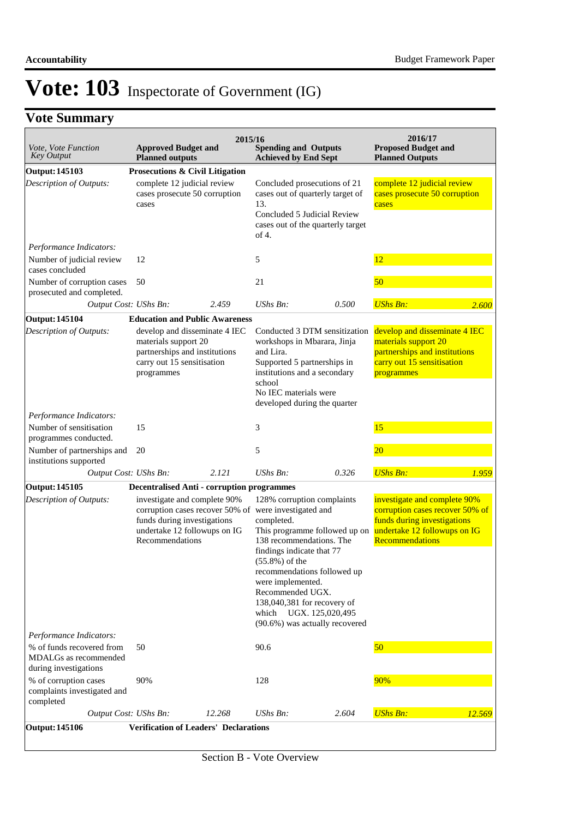# **Vote Summary**

| Vote, Vote Function<br><b>Key Output</b>                                    | <b>Approved Budget and</b><br><b>Planned outputs</b>                                                                               | 2015/16 | <b>Spending and Outputs</b><br><b>Achieved by End Sept</b>                                                                                                                                                                                                                                                                                                                          |       | 2016/17<br><b>Proposed Budget and</b><br><b>Planned Outputs</b>                                                                                          |        |
|-----------------------------------------------------------------------------|------------------------------------------------------------------------------------------------------------------------------------|---------|-------------------------------------------------------------------------------------------------------------------------------------------------------------------------------------------------------------------------------------------------------------------------------------------------------------------------------------------------------------------------------------|-------|----------------------------------------------------------------------------------------------------------------------------------------------------------|--------|
| <b>Output: 145103</b>                                                       | Prosecutions & Civil Litigation                                                                                                    |         |                                                                                                                                                                                                                                                                                                                                                                                     |       |                                                                                                                                                          |        |
| Description of Outputs:                                                     | complete 12 judicial review<br>cases prosecute 50 corruption<br>cases                                                              |         | Concluded prosecutions of 21<br>cases out of quarterly target of<br>13.<br>Concluded 5 Judicial Review<br>cases out of the quarterly target<br>of 4.                                                                                                                                                                                                                                |       | complete 12 judicial review<br>cases prosecute 50 corruption<br>cases                                                                                    |        |
| Performance Indicators:                                                     |                                                                                                                                    |         |                                                                                                                                                                                                                                                                                                                                                                                     |       |                                                                                                                                                          |        |
| Number of judicial review<br>cases concluded                                | 12                                                                                                                                 |         | 5                                                                                                                                                                                                                                                                                                                                                                                   |       | 12                                                                                                                                                       |        |
| Number of corruption cases<br>prosecuted and completed.                     | 50                                                                                                                                 |         | 21                                                                                                                                                                                                                                                                                                                                                                                  |       | 50                                                                                                                                                       |        |
| Output Cost: UShs Bn:                                                       |                                                                                                                                    | 2.459   | <b>UShs Bn:</b>                                                                                                                                                                                                                                                                                                                                                                     | 0.500 | <b>UShs Bn:</b>                                                                                                                                          | 2.600  |
| <b>Output: 145104</b>                                                       | <b>Education and Public Awareness</b>                                                                                              |         |                                                                                                                                                                                                                                                                                                                                                                                     |       |                                                                                                                                                          |        |
| Description of Outputs:                                                     | develop and disseminate 4 IEC<br>materials support 20<br>partnerships and institutions<br>carry out 15 sensitisation<br>programmes |         | Conducted 3 DTM sensitization<br>workshops in Mbarara, Jinja<br>and Lira.<br>Supported 5 partnerships in<br>institutions and a secondary<br>school<br>No IEC materials were<br>developed during the quarter                                                                                                                                                                         |       | develop and disseminate 4 IEC<br>materials support 20<br>partnerships and institutions<br>carry out 15 sensitisation<br>programmes                       |        |
| Performance Indicators:                                                     |                                                                                                                                    |         |                                                                                                                                                                                                                                                                                                                                                                                     |       |                                                                                                                                                          |        |
| Number of sensitisation<br>programmes conducted.                            | 15                                                                                                                                 |         | 3                                                                                                                                                                                                                                                                                                                                                                                   |       | 15                                                                                                                                                       |        |
| Number of partnerships and<br>institutions supported                        | 20                                                                                                                                 |         | 5                                                                                                                                                                                                                                                                                                                                                                                   |       | 20                                                                                                                                                       |        |
| Output Cost: UShs Bn:                                                       |                                                                                                                                    | 2.121   | $UShs Bn$ :                                                                                                                                                                                                                                                                                                                                                                         | 0.326 | <b>UShs Bn:</b>                                                                                                                                          | 1.959  |
| <b>Output: 145105</b>                                                       | <b>Decentralised Anti - corruption programmes</b>                                                                                  |         |                                                                                                                                                                                                                                                                                                                                                                                     |       |                                                                                                                                                          |        |
| Description of Outputs:                                                     | investigate and complete 90%<br>funds during investigations<br>undertake 12 followups on IG<br>Recommendations                     |         | 128% corruption complaints<br>corruption cases recover 50% of were investigated and<br>completed.<br>This programme followed up on<br>138 recommendations. The<br>findings indicate that 77<br>$(55.8\%)$ of the<br>recommendations followed up<br>were implemented.<br>Recommended UGX.<br>138,040,381 for recovery of<br>which UGX. 125,020,495<br>(90.6%) was actually recovered |       | investigate and complete 90%<br>corruption cases recover 50% of<br>funds during investigations<br>undertake 12 followups on IG<br><b>Recommendations</b> |        |
| Performance Indicators:                                                     |                                                                                                                                    |         |                                                                                                                                                                                                                                                                                                                                                                                     |       |                                                                                                                                                          |        |
| % of funds recovered from<br>MDALGs as recommended<br>during investigations | 50                                                                                                                                 |         | 90.6                                                                                                                                                                                                                                                                                                                                                                                |       | 50                                                                                                                                                       |        |
| % of corruption cases<br>complaints investigated and<br>completed           | 90%                                                                                                                                |         | 128                                                                                                                                                                                                                                                                                                                                                                                 |       | 90%                                                                                                                                                      |        |
| Output Cost: UShs Bn:                                                       |                                                                                                                                    | 12.268  | UShs Bn:                                                                                                                                                                                                                                                                                                                                                                            | 2.604 | <b>UShs Bn:</b>                                                                                                                                          | 12.569 |
| <b>Output: 145106</b>                                                       | <b>Verification of Leaders' Declarations</b>                                                                                       |         |                                                                                                                                                                                                                                                                                                                                                                                     |       |                                                                                                                                                          |        |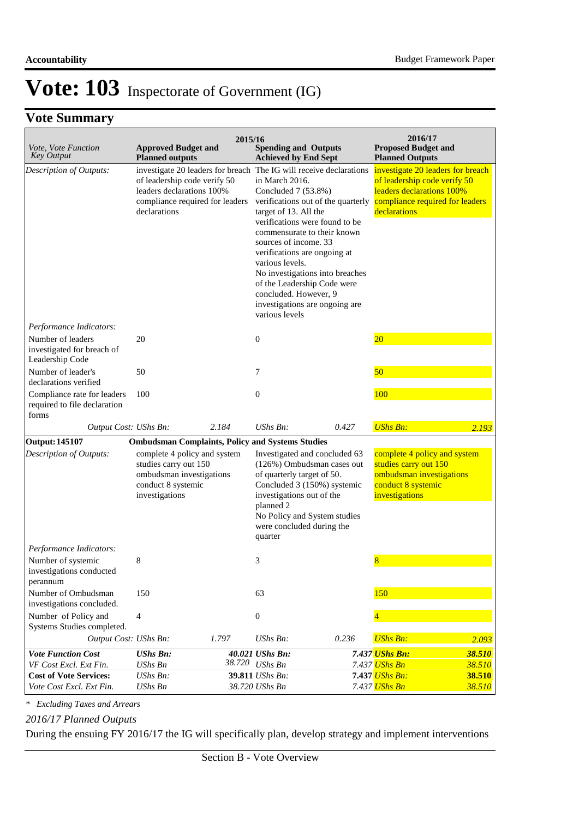# **Vote Summary**

|                                                                      |                                                                                                                           | 2015/16 |                                                                                                                                                                                                                                                                                                                                                                                                                                                                        |       | 2016/17                                                                                                                                           |        |
|----------------------------------------------------------------------|---------------------------------------------------------------------------------------------------------------------------|---------|------------------------------------------------------------------------------------------------------------------------------------------------------------------------------------------------------------------------------------------------------------------------------------------------------------------------------------------------------------------------------------------------------------------------------------------------------------------------|-------|---------------------------------------------------------------------------------------------------------------------------------------------------|--------|
| Vote, Vote Function<br><b>Key Output</b>                             | <b>Approved Budget and</b><br><b>Planned outputs</b>                                                                      |         | <b>Spending and Outputs</b><br><b>Achieved by End Sept</b>                                                                                                                                                                                                                                                                                                                                                                                                             |       | <b>Proposed Budget and</b><br><b>Planned Outputs</b>                                                                                              |        |
| Description of Outputs:                                              | of leadership code verify 50<br>leaders declarations 100%<br>compliance required for leaders<br>declarations              |         | investigate 20 leaders for breach The IG will receive declarations<br>in March 2016.<br>Concluded 7 (53.8%)<br>verifications out of the quarterly<br>target of 13. All the<br>verifications were found to be<br>commensurate to their known<br>sources of income. 33<br>verifications are ongoing at<br>various levels.<br>No investigations into breaches<br>of the Leadership Code were<br>concluded. However, 9<br>investigations are ongoing are<br>various levels |       | investigate 20 leaders for breach<br>of leadership code verify 50<br>leaders declarations 100%<br>compliance required for leaders<br>declarations |        |
| Performance Indicators:                                              |                                                                                                                           |         |                                                                                                                                                                                                                                                                                                                                                                                                                                                                        |       |                                                                                                                                                   |        |
| Number of leaders<br>investigated for breach of<br>Leadership Code   | 20                                                                                                                        |         | 0                                                                                                                                                                                                                                                                                                                                                                                                                                                                      |       | 20                                                                                                                                                |        |
| Number of leader's<br>declarations verified                          | 50                                                                                                                        |         | 7                                                                                                                                                                                                                                                                                                                                                                                                                                                                      |       | 50                                                                                                                                                |        |
| Compliance rate for leaders<br>required to file declaration<br>forms | 100                                                                                                                       |         | 0                                                                                                                                                                                                                                                                                                                                                                                                                                                                      |       | 100                                                                                                                                               |        |
| Output Cost: UShs Bn:                                                |                                                                                                                           | 2.184   | $UShs Bn$ :                                                                                                                                                                                                                                                                                                                                                                                                                                                            | 0.427 | <b>UShs Bn:</b>                                                                                                                                   | 2.193  |
| <b>Output: 145107</b>                                                | <b>Ombudsman Complaints, Policy and Systems Studies</b>                                                                   |         |                                                                                                                                                                                                                                                                                                                                                                                                                                                                        |       |                                                                                                                                                   |        |
| Description of Outputs:                                              | complete 4 policy and system<br>studies carry out 150<br>ombudsman investigations<br>conduct 8 systemic<br>investigations |         | Investigated and concluded 63<br>(126%) Ombudsman cases out<br>of quarterly target of 50.<br>Concluded 3 (150%) systemic<br>investigations out of the<br>planned 2<br>No Policy and System studies<br>were concluded during the<br>quarter                                                                                                                                                                                                                             |       | complete 4 policy and system<br>studies carry out 150<br>ombudsman investigations<br>conduct 8 systemic<br>investigations                         |        |
| Performance Indicators:                                              |                                                                                                                           |         |                                                                                                                                                                                                                                                                                                                                                                                                                                                                        |       |                                                                                                                                                   |        |
| Number of systemic<br>investigations conducted<br>perannum           | 8                                                                                                                         |         | 3                                                                                                                                                                                                                                                                                                                                                                                                                                                                      |       | 8                                                                                                                                                 |        |
| Number of Ombudsman<br>investigations concluded.                     | 150                                                                                                                       |         | 63                                                                                                                                                                                                                                                                                                                                                                                                                                                                     |       | 150                                                                                                                                               |        |
| Number of Policy and<br>Systems Studies completed.                   | $\overline{4}$                                                                                                            |         | $\boldsymbol{0}$                                                                                                                                                                                                                                                                                                                                                                                                                                                       |       |                                                                                                                                                   |        |
| Output Cost: UShs Bn:                                                |                                                                                                                           | 1.797   | <b>UShs Bn:</b>                                                                                                                                                                                                                                                                                                                                                                                                                                                        | 0.236 | <b>UShs Bn:</b>                                                                                                                                   | 2.093  |
| <b>Vote Function Cost</b>                                            | <b>UShs Bn:</b>                                                                                                           |         | 40.021 UShs Bn:                                                                                                                                                                                                                                                                                                                                                                                                                                                        |       | 7.437 UShs Bn:                                                                                                                                    | 38.510 |
| VF Cost Excl. Ext Fin.                                               | <b>UShs Bn</b>                                                                                                            |         | 38.720 UShs Bn                                                                                                                                                                                                                                                                                                                                                                                                                                                         |       | 7.437 <mark>UShs Bn</mark>                                                                                                                        | 38.510 |
| <b>Cost of Vote Services:</b>                                        | UShs Bn:                                                                                                                  |         | 39.811 UShs Bn:                                                                                                                                                                                                                                                                                                                                                                                                                                                        |       | 7.437 UShs Bn:                                                                                                                                    | 38.510 |
| Vote Cost Excl. Ext Fin.                                             | <b>UShs Bn</b>                                                                                                            |         | 38.720 UShs Bn                                                                                                                                                                                                                                                                                                                                                                                                                                                         |       | 7.437 UShs Bn                                                                                                                                     | 38.510 |

*\* Excluding Taxes and Arrears*

### *2016/17 Planned Outputs*

During the ensuing FY 2016/17 the IG will specifically plan, develop strategy and implement interventions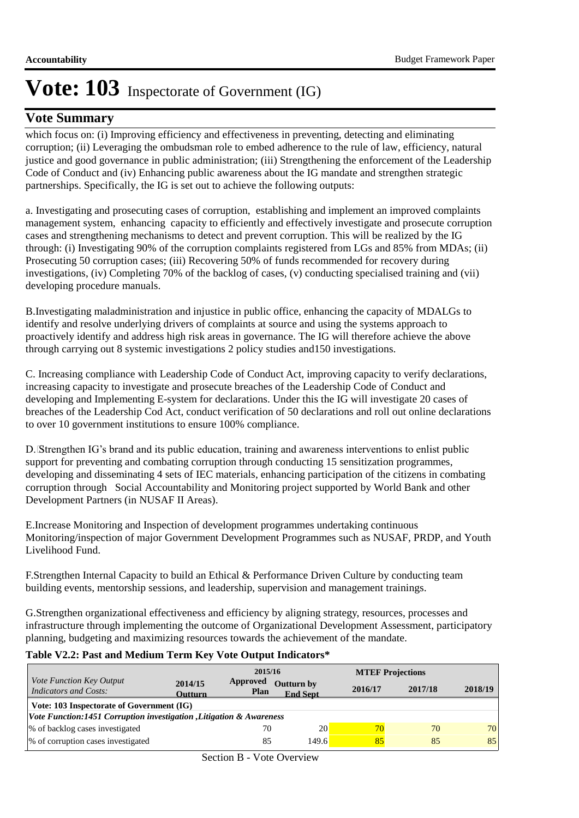### **Vote Summary**

which focus on: (i) Improving efficiency and effectiveness in preventing, detecting and eliminating corruption; (ii) Leveraging the ombudsman role to embed adherence to the rule of law, efficiency, natural justice and good governance in public administration; (iii) Strengthening the enforcement of the Leadership Code of Conduct and (iv) Enhancing public awareness about the IG mandate and strengthen strategic partnerships. Specifically, the IG is set out to achieve the following outputs:

a. Investigating and prosecuting cases of corruption, establishing and implement an improved complaints management system, enhancing capacity to efficiently and effectively investigate and prosecute corruption cases and strengthening mechanisms to detect and prevent corruption. This will be realized by the IG through: (i) Investigating 90% of the corruption complaints registered from LGs and 85% from MDAs; (ii) Prosecuting 50 corruption cases; (iii) Recovering 50% of funds recommended for recovery during investigations, (iv) Completing 70% of the backlog of cases, (v) conducting specialised training and (vii) developing procedure manuals.

B. Investigating maladministration and injustice in public office, enhancing the capacity of MDALGs to identify and resolve underlying drivers of complaints at source and using the systems approach to proactively identify and address high risk areas in governance. The IG will therefore achieve the above through carrying out 8 systemic investigations 2 policy studies and150 investigations.

C. Increasing compliance with Leadership Code of Conduct Act, improving capacity to verify declarations, increasing capacity to investigate and prosecute breaches of the Leadership Code of Conduct and developing and Implementing E-system for declarations. Under this the IG will investigate 20 cases of breaches of the Leadership Cod Act, conduct verification of 50 declarations and roll out online declarations to over 10 government institutions to ensure 100% compliance.

D. Strengthen IG's brand and its public education, training and awareness interventions to enlist public support for preventing and combating corruption through conducting 15 sensitization programmes, developing and disseminating 4 sets of IEC materials, enhancing participation of the citizens in combating corruption through Social Accountability and Monitoring project supported by World Bank and other Development Partners (in NUSAF II Areas).

E. Increase Monitoring and Inspection of development programmes undertaking continuous Monitoring/inspection of major Government Development Programmes such as NUSAF, PRDP, and Youth Livelihood Fund.

F.Strengthen Internal Capacity to build an Ethical & Performance Driven Culture by conducting team building events, mentorship sessions, and leadership, supervision and management trainings.

G. Strengthen organizational effectiveness and efficiency by aligning strategy, resources, processes and infrastructure through implementing the outcome of Organizational Development Assessment, participatory planning, budgeting and maximizing resources towards the achievement of the mandate.

#### **Table V2.2: Past and Medium Term Key Vote Output Indicators\***

|                                                                     |                           | 2015/16                 |                                      |         | <b>MTEF Projections</b> |         |  |  |  |
|---------------------------------------------------------------------|---------------------------|-------------------------|--------------------------------------|---------|-------------------------|---------|--|--|--|
| <i>Vote Function Key Output</i><br><b>Indicators and Costs:</b>     | 2014/15<br><b>Outturn</b> | <b>Approved</b><br>Plan | <b>Outturn by</b><br><b>End Sept</b> | 2016/17 | 2017/18                 | 2018/19 |  |  |  |
| Vote: 103 Inspectorate of Government (IG)                           |                           |                         |                                      |         |                         |         |  |  |  |
| Vote Function:1451 Corruption investigation, Litigation & Awareness |                           |                         |                                      |         |                         |         |  |  |  |
| % of backlog cases investigated                                     |                           | 70                      | 20                                   | 70      | 70                      | 70      |  |  |  |
| % of corruption cases investigated                                  |                           | 85                      | 149.6                                | 85      | 85                      | 85      |  |  |  |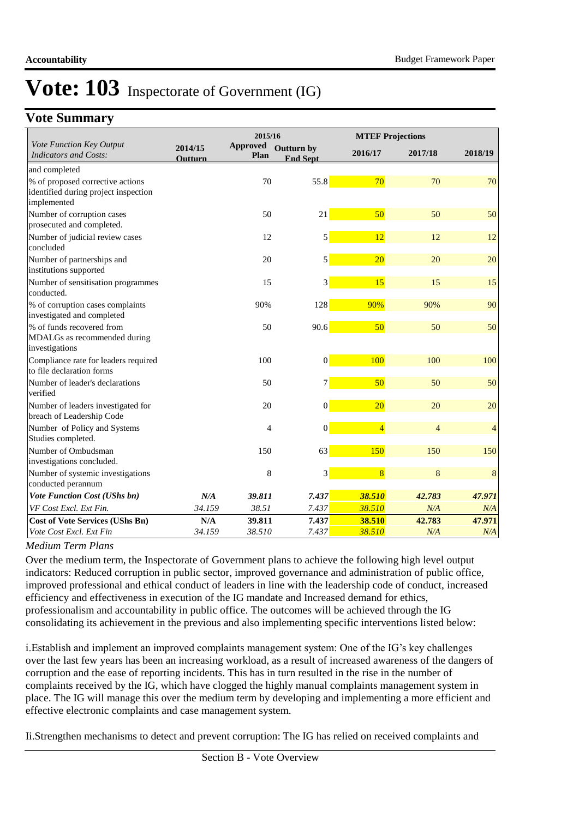## **Vote Summary**

|                                                                                         |                    | 2015/16          |                                      |                  | <b>MTEF Projections</b> |                |
|-----------------------------------------------------------------------------------------|--------------------|------------------|--------------------------------------|------------------|-------------------------|----------------|
| Vote Function Key Output<br><b>Indicators and Costs:</b>                                | 2014/15<br>Outturn | Approved<br>Plan | <b>Outturn by</b><br><b>End Sept</b> | 2016/17          | 2017/18                 | 2018/19        |
| and completed                                                                           |                    |                  |                                      |                  |                         |                |
| % of proposed corrective actions<br>identified during project inspection<br>implemented |                    | 70               | 55.8                                 | 70               | 70                      | 70             |
| Number of corruption cases<br>prosecuted and completed.                                 |                    | 50               | 21                                   | 50               | 50                      | 50             |
| Number of judicial review cases<br>concluded                                            |                    | 12               | 5                                    | 12               | 12                      | 12             |
| Number of partnerships and<br>institutions supported                                    |                    | 20               | 5                                    | 20               | 20                      | 20             |
| Number of sensitisation programmes<br>conducted.                                        |                    | 15               | 3                                    | 15               | 15                      | 15             |
| % of corruption cases complaints<br>investigated and completed                          |                    | 90%              | 128                                  | 90%              | 90%                     | 90             |
| % of funds recovered from<br>MDALGs as recommended during<br>investigations             |                    | 50               | 90.6                                 | 50               | 50                      | 50             |
| Compliance rate for leaders required<br>to file declaration forms                       |                    | 100              | $\vert 0 \vert$                      | 100              | 100                     | 100            |
| Number of leader's declarations<br>verified                                             |                    | 50               | $\overline{7}$                       | 50               | 50                      | 50             |
| Number of leaders investigated for<br>breach of Leadership Code                         |                    | 20               | $\mathbf{0}$                         | 20               | 20                      | 20             |
| Number of Policy and Systems<br>Studies completed.                                      |                    | $\overline{4}$   | $\mathbf{0}$                         | $\overline{4}$   | $\overline{4}$          | $\overline{4}$ |
| Number of Ombudsman<br>investigations concluded.                                        |                    | 150              | 63                                   | 150              | 150                     | 150            |
| Number of systemic investigations                                                       |                    | 8                | 3                                    | $\overline{8}$   | 8                       | 8              |
| conducted perannum                                                                      |                    |                  |                                      |                  |                         |                |
| <b>Vote Function Cost (UShs bn)</b>                                                     | N/A                | 39.811           | 7.437                                | 38.510           | 42.783                  | 47.971         |
| VF Cost Excl. Ext Fin.                                                                  | 34.159             | 38.51            | 7.437                                | 38.510           | N/A                     | N/A            |
| <b>Cost of Vote Services (UShs Bn)</b><br>Vote Cost Excl. Ext Fin                       | N/A<br>34.159      | 39.811<br>38.510 | 7.437<br>7.437                       | 38.510<br>38.510 | 42.783<br>N/A           | 47.971<br>N/A  |

### *Medium Term Plans*

Over the medium term, the Inspectorate of Government plans to achieve the following high level output indicators: Reduced corruption in public sector, improved governance and administration of public office, improved professional and ethical conduct of leaders in line with the leadership code of conduct, increased efficiency and effectiveness in execution of the IG mandate and Increased demand for ethics, professionalism and accountability in public office. The outcomes will be achieved through the IG consolidating its achievement in the previous and also implementing specific interventions listed below:

i. Establish and implement an improved complaints management system: One of the IG's key challenges over the last few years has been an increasing workload, as a result of increased awareness of the dangers of corruption and the ease of reporting incidents. This has in turn resulted in the rise in the number of complaints received by the IG, which have clogged the highly manual complaints management system in place. The IG will manage this over the medium term by developing and implementing a more efficient and effective electronic complaints and case management system.

Ii. Strengthen mechanisms to detect and prevent corruption: The IG has relied on received complaints and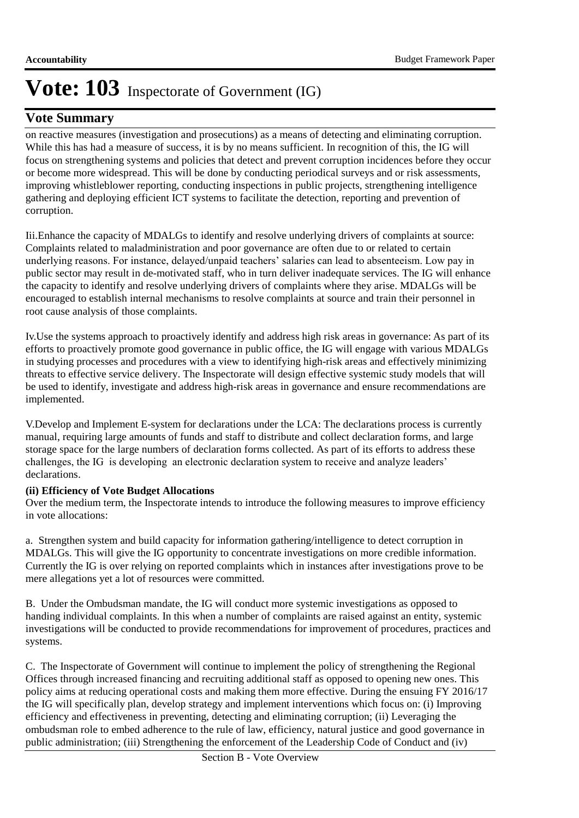## **Vote Summary**

on reactive measures (investigation and prosecutions) as a means of detecting and eliminating corruption. While this has had a measure of success, it is by no means sufficient. In recognition of this, the IG will focus on strengthening systems and policies that detect and prevent corruption incidences before they occur or become more widespread. This will be done by conducting periodical surveys and or risk assessments, improving whistleblower reporting, conducting inspections in public projects, strengthening intelligence gathering and deploying efficient ICT systems to facilitate the detection, reporting and prevention of corruption.

Iii. Enhance the capacity of MDALGs to identify and resolve underlying drivers of complaints at source: Complaints related to maladministration and poor governance are often due to or related to certain underlying reasons. For instance, delayed/unpaid teachers' salaries can lead to absenteeism. Low pay in public sector may result in de-motivated staff, who in turn deliver inadequate services. The IG will enhance the capacity to identify and resolve underlying drivers of complaints where they arise. MDALGs will be encouraged to establish internal mechanisms to resolve complaints at source and train their personnel in root cause analysis of those complaints.

Iv. Use the systems approach to proactively identify and address high risk areas in governance: As part of its efforts to proactively promote good governance in public office, the IG will engage with various MDALGs in studying processes and procedures with a view to identifying high-risk areas and effectively minimizing threats to effective service delivery. The Inspectorate will design effective systemic study models that will be used to identify, investigate and address high-risk areas in governance and ensure recommendations are implemented.

V. Develop and Implement E-system for declarations under the LCA: The declarations process is currently manual, requiring large amounts of funds and staff to distribute and collect declaration forms, and large storage space for the large numbers of declaration forms collected. As part of its efforts to address these challenges, the IG is developing an electronic declaration system to receive and analyze leaders' declarations.

### **(ii) Efficiency of Vote Budget Allocations**

Over the medium term, the Inspectorate intends to introduce the following measures to improve efficiency in vote allocations:

a. Strengthen system and build capacity for information gathering/intelligence to detect corruption in MDALGs. This will give the IG opportunity to concentrate investigations on more credible information. Currently the IG is over relying on reported complaints which in instances after investigations prove to be mere allegations yet a lot of resources were committed.

B. Under the Ombudsman mandate, the IG will conduct more systemic investigations as opposed to handing individual complaints. In this when a number of complaints are raised against an entity, systemic investigations will be conducted to provide recommendations for improvement of procedures, practices and systems.

C. The Inspectorate of Government will continue to implement the policy of strengthening the Regional Offices through increased financing and recruiting additional staff as opposed to opening new ones. This policy aims at reducing operational costs and making them more effective. During the ensuing FY 2016/17 the IG will specifically plan, develop strategy and implement interventions which focus on: (i) Improving efficiency and effectiveness in preventing, detecting and eliminating corruption; (ii) Leveraging the ombudsman role to embed adherence to the rule of law, efficiency, natural justice and good governance in public administration; (iii) Strengthening the enforcement of the Leadership Code of Conduct and (iv)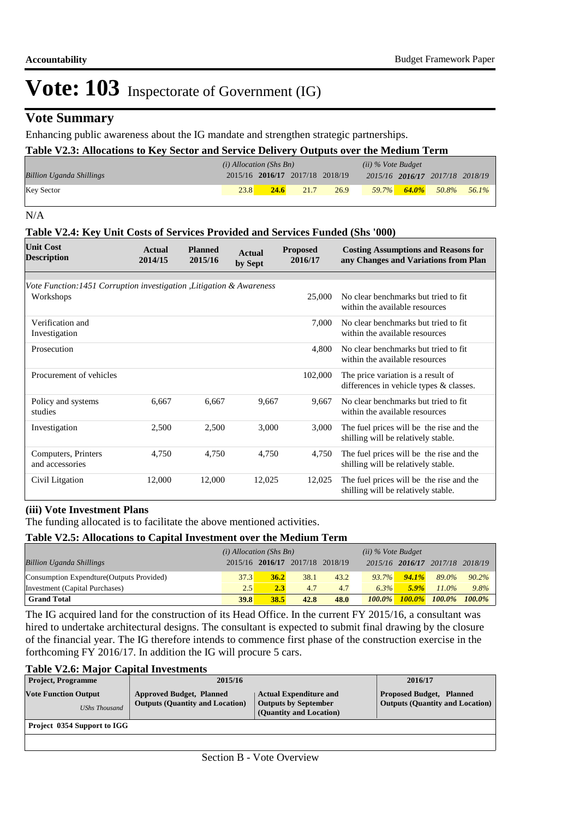### **Vote Summary**

Enhancing public awareness about the IG mandate and strengthen strategic partnerships.

| Table V2.3: Allocations to Key Sector and Service Delivery Outputs over the Medium Term |                           |      |                                 |      |                    |  |                                 |  |
|-----------------------------------------------------------------------------------------|---------------------------|------|---------------------------------|------|--------------------|--|---------------------------------|--|
|                                                                                         | $(i)$ Allocation (Shs Bn) |      |                                 |      | (ii) % Vote Budget |  |                                 |  |
| <b>Billion Uganda Shillings</b>                                                         |                           |      | 2015/16 2016/17 2017/18 2018/19 |      |                    |  | 2015/16 2016/17 2017/18 2018/19 |  |
| <b>Key Sector</b>                                                                       | 23.8                      | 24.6 | 21.7                            | 26.9 | $59.7\%$           |  | $\frac{64.0\%}{2}$ 50.8% 56.1%  |  |

N/A

#### **Table V2.4: Key Unit Costs of Services Provided and Services Funded (Shs '000)**

| <b>Unit Cost</b><br><b>Description</b>                               | Actual<br>2014/15 | <b>Planned</b><br>2015/16 | Actual<br>by Sept | <b>Proposed</b><br>2016/17 | <b>Costing Assumptions and Reasons for</b><br>any Changes and Variations from Plan |
|----------------------------------------------------------------------|-------------------|---------------------------|-------------------|----------------------------|------------------------------------------------------------------------------------|
| Vote Function: 1451 Corruption investigation, Litigation & Awareness |                   |                           |                   |                            |                                                                                    |
| Workshops                                                            |                   |                           |                   | 25,000                     | No clear benchmarks but tried to fit.<br>within the available resources            |
| Verification and<br>Investigation                                    |                   |                           |                   | 7.000                      | No clear benchmarks but tried to fit.<br>within the available resources            |
| Prosecution                                                          |                   |                           |                   | 4.800                      | No clear benchmarks but tried to fit<br>within the available resources             |
| Procurement of vehicles                                              |                   |                           |                   | 102,000                    | The price variation is a result of<br>differences in vehicle types & classes.      |
| Policy and systems<br>studies                                        | 6,667             | 6,667                     | 9,667             | 9.667                      | No clear benchmarks but tried to fit<br>within the available resources             |
| Investigation                                                        | 2,500             | 2,500                     | 3,000             | 3,000                      | The fuel prices will be the rise and the<br>shilling will be relatively stable.    |
| Computers, Printers<br>and accessories                               | 4,750             | 4,750                     | 4,750             | 4,750                      | The fuel prices will be the rise and the<br>shilling will be relatively stable.    |
| Civil Litgation                                                      | 12,000            | 12,000                    | 12,025            | 12,025                     | The fuel prices will be the rise and the<br>shilling will be relatively stable.    |

#### **(iii) Vote Investment Plans**

The funding allocated is to facilitate the above mentioned activities.

#### **Table V2.5: Allocations to Capital Investment over the Medium Term**

|                                           | $(i)$ Allocation (Shs Bn) |      |                                 | $(ii)$ % Vote Budget |           |           |                                 |           |
|-------------------------------------------|---------------------------|------|---------------------------------|----------------------|-----------|-----------|---------------------------------|-----------|
| <b>Billion Uganda Shillings</b>           |                           |      | 2015/16 2016/17 2017/18 2018/19 |                      |           |           | 2015/16 2016/17 2017/18 2018/19 |           |
| Consumption Expendture (Outputs Provided) | 37.3'                     | 36.2 | 38.1                            | 43.2                 | $93.7\%$  | 94.1%     | 89.0%                           | 90.2%     |
| Investment (Capital Purchases)            | 2.5                       | 2.3  | 4.7                             | 4.7                  | 6.3%      | $5.9\%$   | $11.0\%$                        | 9.8%      |
| <b>Grand Total</b>                        | 39.8                      | 38.5 | 42.8                            | 48.0                 | $100.0\%$ | $100.0\%$ | $100.0\%$                       | $100.0\%$ |

The IG acquired land for the construction of its Head Office. In the current FY 2015/16, a consultant was hired to undertake architectural designs. The consultant is expected to submit final drawing by the closure of the financial year. The IG therefore intends to commence first phase of the construction exercise in the forthcoming FY 2016/17. In addition the IG will procure 5 cars.

#### **Table V2.6: Major Capital Investments**

| <b>Project, Programme</b>                           | 2015/16                                                                   |                                                                                         | 2016/17                                                                   |
|-----------------------------------------------------|---------------------------------------------------------------------------|-----------------------------------------------------------------------------------------|---------------------------------------------------------------------------|
| <b>Vote Function Output</b><br><b>UShs Thousand</b> | <b>Approved Budget, Planned</b><br><b>Outputs (Quantity and Location)</b> | <b>Actual Expenditure and</b><br><b>Outputs by September</b><br>(Quantity and Location) | <b>Proposed Budget, Planned</b><br><b>Outputs (Quantity and Location)</b> |
| Project 0354 Support to IGG                         |                                                                           |                                                                                         |                                                                           |
|                                                     |                                                                           |                                                                                         |                                                                           |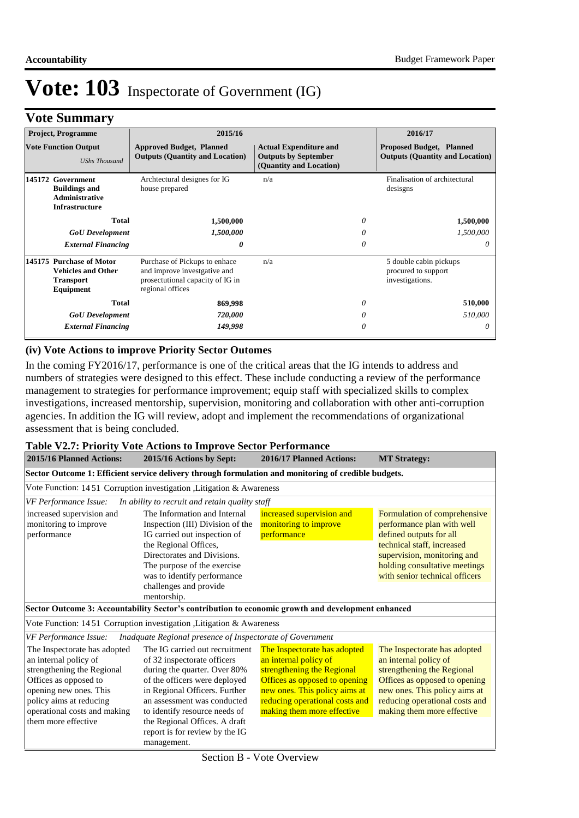# **Vote Summary**

| <b>Project, Programme</b>                                                                   | 2015/16                                                                                                               |                                                                                         | 2016/17                                                                   |
|---------------------------------------------------------------------------------------------|-----------------------------------------------------------------------------------------------------------------------|-----------------------------------------------------------------------------------------|---------------------------------------------------------------------------|
| <b>Vote Function Output</b><br><b>UShs Thousand</b>                                         | <b>Approved Budget, Planned</b><br><b>Outputs (Quantity and Location)</b>                                             | <b>Actual Expenditure and</b><br><b>Outputs by September</b><br>(Quantity and Location) | <b>Proposed Budget, Planned</b><br><b>Outputs (Quantity and Location)</b> |
| 145172 Government<br><b>Buildings and</b><br><b>Administrative</b><br><b>Infrastructure</b> | Archtectural designes for IG<br>house prepared                                                                        | n/a                                                                                     | Finalisation of architectural<br>desisgns                                 |
| <b>Total</b>                                                                                | 1,500,000                                                                                                             | 0                                                                                       | 1,500,000                                                                 |
| <b>GoU</b> Development                                                                      | 1,500,000                                                                                                             | 0                                                                                       | 1,500,000                                                                 |
| <b>External Financing</b>                                                                   | 0                                                                                                                     | 0                                                                                       | 0                                                                         |
| 145175 Purchase of Motor<br><b>Vehicles and Other</b><br><b>Transport</b><br>Equipment      | Purchase of Pickups to enhace<br>and improve investgative and<br>prosectutional capacity of IG in<br>regional offices | n/a                                                                                     | 5 double cabin pickups<br>procured to support<br>investigations.          |
| <b>Total</b>                                                                                | 869,998                                                                                                               | 0                                                                                       | 510,000                                                                   |
| <b>GoU</b> Development                                                                      | 720,000                                                                                                               | 0                                                                                       | 510,000                                                                   |
| <b>External Financing</b>                                                                   | 149,998                                                                                                               | 0                                                                                       | 0                                                                         |

#### **(iv) Vote Actions to improve Priority Sector Outomes**

In the coming FY2016/17, performance is one of the critical areas that the IG intends to address and numbers of strategies were designed to this effect. These include conducting a review of the performance management to strategies for performance improvement; equip staff with specialized skills to complex investigations, increased mentorship, supervision, monitoring and collaboration with other anti-corruption agencies. In addition the IG will review, adopt and implement the recommendations of organizational assessment that is being concluded.

#### **Table V2.7: Priority Vote Actions to Improve Sector Performance**

| 2015/16 Planned Actions:                                                                                                                                                                                                                                                                                                             | 2015/16 Actions by Sept:                                                                                                                                                                                                                                         |                                                                                                                                                                                                                       | <b>MT Strategy:</b>                                                                                                                                                                                                   |  |  |
|--------------------------------------------------------------------------------------------------------------------------------------------------------------------------------------------------------------------------------------------------------------------------------------------------------------------------------------|------------------------------------------------------------------------------------------------------------------------------------------------------------------------------------------------------------------------------------------------------------------|-----------------------------------------------------------------------------------------------------------------------------------------------------------------------------------------------------------------------|-----------------------------------------------------------------------------------------------------------------------------------------------------------------------------------------------------------------------|--|--|
|                                                                                                                                                                                                                                                                                                                                      | Sector Outcome 1: Efficient service delivery through formulation and monitoring of credible budgets.                                                                                                                                                             |                                                                                                                                                                                                                       |                                                                                                                                                                                                                       |  |  |
|                                                                                                                                                                                                                                                                                                                                      | Vote Function: 1451 Corruption investigation , Litigation & Awareness                                                                                                                                                                                            |                                                                                                                                                                                                                       |                                                                                                                                                                                                                       |  |  |
| VF Performance Issue:                                                                                                                                                                                                                                                                                                                | In ability to recruit and retain quality staff                                                                                                                                                                                                                   |                                                                                                                                                                                                                       |                                                                                                                                                                                                                       |  |  |
| The Information and Internal<br>increased supervision and<br>monitoring to improve<br>Inspection (III) Division of the<br>IG carried out inspection of<br>performance<br>the Regional Offices,<br>Directorates and Divisions.<br>The purpose of the exercise<br>was to identify performance<br>challenges and provide<br>mentorship. |                                                                                                                                                                                                                                                                  | increased supervision and<br>monitoring to improve<br>performance                                                                                                                                                     | Formulation of comprehensive<br>performance plan with well<br>defined outputs for all<br>technical staff, increased<br>supervision, monitoring and<br>holding consultative meetings<br>with senior technical officers |  |  |
|                                                                                                                                                                                                                                                                                                                                      | Sector Outcome 3: Accountability Sector's contribution to economic growth and development enhanced                                                                                                                                                               |                                                                                                                                                                                                                       |                                                                                                                                                                                                                       |  |  |
|                                                                                                                                                                                                                                                                                                                                      | Vote Function: 1451 Corruption investigation, Litigation & Awareness                                                                                                                                                                                             |                                                                                                                                                                                                                       |                                                                                                                                                                                                                       |  |  |
| <b>VF</b> Performance Issue:                                                                                                                                                                                                                                                                                                         | Inadquate Regional presence of Inspectorate of Government                                                                                                                                                                                                        |                                                                                                                                                                                                                       |                                                                                                                                                                                                                       |  |  |
| The Inspectorate has adopted<br>an internal policy of<br>strengthening the Regional<br>Offices as opposed to<br>opening new ones. This<br>policy aims at reducing<br>operational costs and making<br>them more effective                                                                                                             | The IG carried out recruitment<br>of 32 inspectorate officers<br>during the quarter. Over 80%<br>of the officers were deployed<br>in Regional Officers. Further<br>an assessment was conducted<br>to identify resource needs of<br>the Regional Offices. A draft | The Inspectorate has adopted<br>an internal policy of<br>strengthening the Regional<br>Offices as opposed to opening<br>new ones. This policy aims at<br>reducing operational costs and<br>making them more effective | The Inspectorate has adopted<br>an internal policy of<br>strengthening the Regional<br>Offices as opposed to opening<br>new ones. This policy aims at<br>reducing operational costs and<br>making them more effective |  |  |
|                                                                                                                                                                                                                                                                                                                                      | report is for review by the IG<br>management.                                                                                                                                                                                                                    |                                                                                                                                                                                                                       |                                                                                                                                                                                                                       |  |  |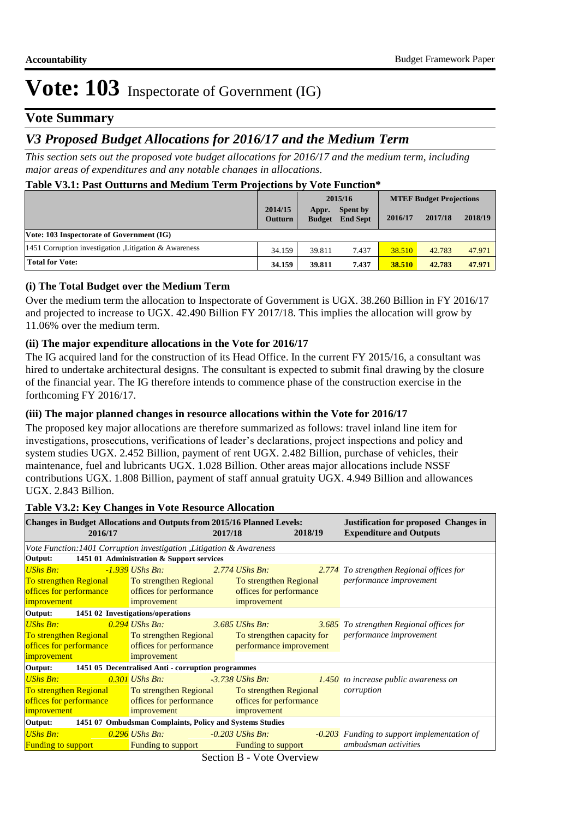### **Vote Summary**

## *V3 Proposed Budget Allocations for 2016/17 and the Medium Term*

*This section sets out the proposed vote budget allocations for 2016/17 and the medium term, including major areas of expenditures and any notable changes in allocations.* 

#### **Table V3.1: Past Outturns and Medium Term Projections by Vote Function\***

|                                                      |                           | 2015/16                |                             | <b>MTEF Budget Projections</b> |         |         |
|------------------------------------------------------|---------------------------|------------------------|-----------------------------|--------------------------------|---------|---------|
|                                                      | 2014/15<br><b>Outturn</b> | Appr.<br><b>Budget</b> | Spent by<br><b>End Sept</b> | 2016/17                        | 2017/18 | 2018/19 |
| Vote: 103 Inspectorate of Government (IG)            |                           |                        |                             |                                |         |         |
| 1451 Corruption investigation Litigation & Awareness | 34.159                    | 39.811                 | 7.437                       | 38.510                         | 42.783  | 47.971  |
| <b>Total for Vote:</b>                               | 34.159                    | 39.811                 | 7.437                       | 38.510                         | 42.783  | 47.971  |

#### **(i) The Total Budget over the Medium Term**

Over the medium term the allocation to Inspectorate of Government is UGX. 38.260 Billion in FY 2016/17 and projected to increase to UGX. 42.490 Billion FY 2017/18. This implies the allocation will grow by 11.06% over the medium term.

#### **(ii) The major expenditure allocations in the Vote for 2016/17**

The IG acquired land for the construction of its Head Office. In the current FY 2015/16, a consultant was hired to undertake architectural designs. The consultant is expected to submit final drawing by the closure of the financial year. The IG therefore intends to commence phase of the construction exercise in the forthcoming FY 2016/17.

#### **(iii) The major planned changes in resource allocations within the Vote for 2016/17**

The proposed key major allocations are therefore summarized as follows: travel inland line item for investigations, prosecutions, verifications of leader's declarations, project inspections and policy and system studies UGX. 2.452 Billion, payment of rent UGX. 2.482 Billion, purchase of vehicles, their maintenance, fuel and lubricants UGX. 1.028 Billion. Other areas major allocations include NSSF contributions UGX. 1.808 Billion, payment of staff annual gratuity UGX. 4.949 Billion and allowances UGX. 2.843 Billion.

| <b>Changes in Budget Allocations and Outputs from 2015/16 Planned Levels:</b><br>2016/17 |                                           | 2017/18           |                            | 2018/19 | <b>Justification for proposed Changes in</b><br><b>Expenditure and Outputs</b> |  |
|------------------------------------------------------------------------------------------|-------------------------------------------|-------------------|----------------------------|---------|--------------------------------------------------------------------------------|--|
| Vote Function: 1401 Corruption investigation , Litigation & Awareness                    |                                           |                   |                            |         |                                                                                |  |
| Output:                                                                                  | 1451 01 Administration & Support services |                   |                            |         |                                                                                |  |
| <b>UShs Bn:</b>                                                                          | -1.939 UShs Bn:                           | $2.774$ UShs Bn:  |                            |         | 2.774 To strengthen Regional offices for                                       |  |
| To strengthen Regional To strengthen Regional                                            |                                           |                   | To strengthen Regional     |         | performance improvement                                                        |  |
| offices for performance offices for performance                                          |                                           |                   | offices for performance    |         |                                                                                |  |
| improvement                                                                              | improvement                               |                   | improvement                |         |                                                                                |  |
| Output: 1451 02 Investigations/operations                                                |                                           |                   |                            |         |                                                                                |  |
| <b>UShs Bn:</b>                                                                          | $0.294$ UShs Bn:                          | $3.685$ UShs Bn:  |                            |         | 3.685 To strengthen Regional offices for                                       |  |
| To strengthen Regional To strengthen Regional                                            |                                           |                   | To strengthen capacity for |         | performance improvement                                                        |  |
| offices for performance offices for performance performance improvement                  |                                           |                   |                            |         |                                                                                |  |
| improvement                                                                              | improvement                               |                   |                            |         |                                                                                |  |
| Output: 1451 05 Decentralised Anti - corruption programmes                               |                                           |                   |                            |         |                                                                                |  |
| UShs Bn:                                                                                 | $0.301$ UShs Bn:                          |                   | -3.738 UShs Bn:            |         | 1.450 to increase public awareness on                                          |  |
| To strengthen Regional To strengthen Regional                                            |                                           |                   | To strengthen Regional     |         | corruption                                                                     |  |
| offices for performance                                                                  | offices for performance                   |                   | offices for performance    |         |                                                                                |  |
| improvement                                                                              | improvement                               |                   | improvement                |         |                                                                                |  |
| Output: 1451 07 Ombudsman Complaints, Policy and Systems Studies                         |                                           |                   |                            |         |                                                                                |  |
| UShs Bn:                                                                                 | $0.296$ UShs Bn:                          | $-0.203$ UShs Bn: |                            |         | <b>-0.203</b> Funding to support implementation of                             |  |
| <b>Funding to support</b>                                                                | <b>Funding to support</b>                 |                   | <b>Funding to support</b>  |         | ambudsman activities                                                           |  |

#### **Table V3.2: Key Changes in Vote Resource Allocation**

Section B - Vote Overview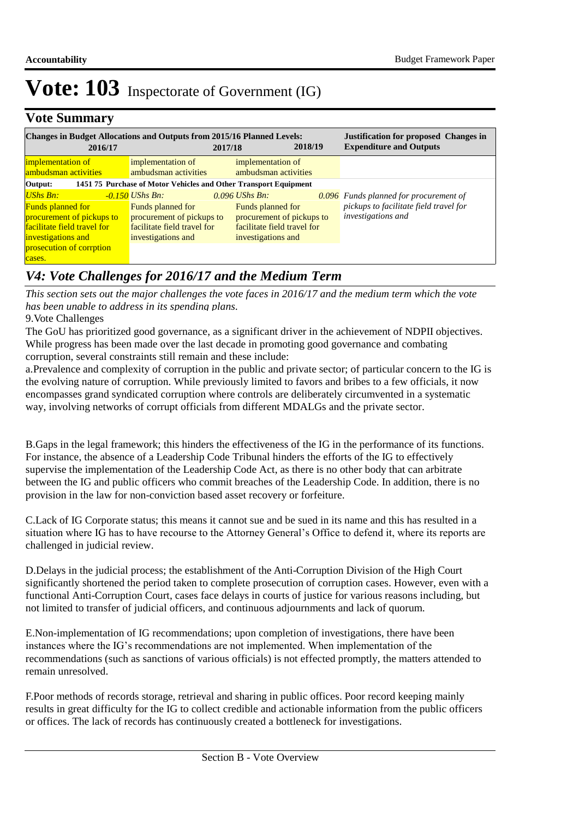## **Vote Summary**

| <b>Changes in Budget Allocations and Outputs from 2015/16 Planned Levels:</b><br>2016/17                                                           |                                                                                                                        | 2017/18 |                                                                                                                         | 2018/19 |  | <b>Justification for proposed Changes in</b><br><b>Expenditure and Outputs</b>                                       |  |
|----------------------------------------------------------------------------------------------------------------------------------------------------|------------------------------------------------------------------------------------------------------------------------|---------|-------------------------------------------------------------------------------------------------------------------------|---------|--|----------------------------------------------------------------------------------------------------------------------|--|
| implementation of<br>ambudsman activities                                                                                                          | implementation of<br>ambudsman activities                                                                              |         | implementation of<br>ambudsman activities                                                                               |         |  |                                                                                                                      |  |
| 1451 75 Purchase of Motor Vehicles and Other Transport Equipment<br>Output:                                                                        |                                                                                                                        |         |                                                                                                                         |         |  |                                                                                                                      |  |
| UShs Bn:<br><b>Funds planned for</b><br>procurement of pickups to<br>facilitate field travel for<br>investigations and<br>prosecution of corrption | -0.150 UShs Bn:<br>Funds planned for<br>procurement of pickups to<br>facilitate field travel for<br>investigations and |         | $0.096$ UShs Bn.<br>Funds planned for<br>procurement of pickups to<br>facilitate field travel for<br>investigations and |         |  | <b>0.096</b> Funds planned for procurement of<br>pickups to facilitate field travel for<br><i>investigations and</i> |  |

## *V4: Vote Challenges for 2016/17 and the Medium Term*

9. Vote Challenges *This section sets out the major challenges the vote faces in 2016/17 and the medium term which the vote has been unable to address in its spending plans.*

The GoU has prioritized good governance, as a significant driver in the achievement of NDPII objectives. While progress has been made over the last decade in promoting good governance and combating corruption, several constraints still remain and these include:

a. Prevalence and complexity of corruption in the public and private sector; of particular concern to the IG is the evolving nature of corruption. While previously limited to favors and bribes to a few officials, it now encompasses grand syndicated corruption where controls are deliberately circumvented in a systematic way, involving networks of corrupt officials from different MDALGs and the private sector.

B. Gaps in the legal framework; this hinders the effectiveness of the IG in the performance of its functions. For instance, the absence of a Leadership Code Tribunal hinders the efforts of the IG to effectively supervise the implementation of the Leadership Code Act, as there is no other body that can arbitrate between the IG and public officers who commit breaches of the Leadership Code. In addition, there is no provision in the law for non-conviction based asset recovery or forfeiture.

C. Lack of IG Corporate status; this means it cannot sue and be sued in its name and this has resulted in a situation where IG has to have recourse to the Attorney General's Office to defend it, where its reports are challenged in judicial review.

D. Delays in the judicial process; the establishment of the Anti-Corruption Division of the High Court significantly shortened the period taken to complete prosecution of corruption cases. However, even with a functional Anti-Corruption Court, cases face delays in courts of justice for various reasons including, but not limited to transfer of judicial officers, and continuous adjournments and lack of quorum.

E. Non-implementation of IG recommendations; upon completion of investigations, there have been instances where the IG's recommendations are not implemented. When implementation of the recommendations (such as sanctions of various officials) is not effected promptly, the matters attended to remain unresolved.

F. Poor methods of records storage, retrieval and sharing in public offices. Poor record keeping mainly results in great difficulty for the IG to collect credible and actionable information from the public officers or offices. The lack of records has continuously created a bottleneck for investigations.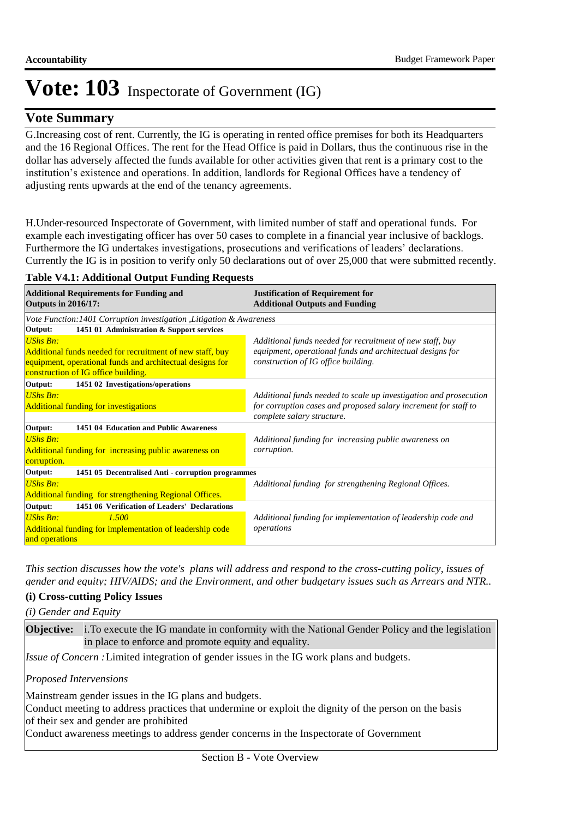### **Vote Summary**

G. Increasing cost of rent. Currently, the IG is operating in rented office premises for both its Headquarters and the 16 Regional Offices. The rent for the Head Office is paid in Dollars, thus the continuous rise in the dollar has adversely affected the funds available for other activities given that rent is a primary cost to the institution's existence and operations. In addition, landlords for Regional Offices have a tendency of adjusting rents upwards at the end of the tenancy agreements.

H. Under-resourced Inspectorate of Government, with limited number of staff and operational funds. For example each investigating officer has over 50 cases to complete in a financial year inclusive of backlogs. Furthermore the IG undertakes investigations, prosecutions and verifications of leaders' declarations. Currently the IG is in position to verify only 50 declarations out of over 25,000 that were submitted recently.

#### **Table V4.1: Additional Output Funding Requests**

| <b>Additional Requirements for Funding and</b><br><b>Outputs in 2016/17:</b> | <b>Justification of Requirement for</b><br><b>Additional Outputs and Funding</b> |  |  |  |  |  |
|------------------------------------------------------------------------------|----------------------------------------------------------------------------------|--|--|--|--|--|
| Vote Function: 1401 Corruption investigation, Litigation & Awareness         |                                                                                  |  |  |  |  |  |
| Output:<br>1451 01 Administration & Support services                         |                                                                                  |  |  |  |  |  |
| <b>UShs Bn:</b>                                                              | Additional funds needed for recruitment of new staff, buy                        |  |  |  |  |  |
| Additional funds needed for recruitment of new staff, buy                    | equipment, operational funds and architectual designs for                        |  |  |  |  |  |
| equipment, operational funds and architectual designs for                    | construction of IG office building.                                              |  |  |  |  |  |
| construction of IG office building.                                          |                                                                                  |  |  |  |  |  |
| Output:<br>1451 02 Investigations/operations                                 |                                                                                  |  |  |  |  |  |
| <b>UShs Bn:</b>                                                              | Additional funds needed to scale up investigation and prosecution                |  |  |  |  |  |
| <b>Additional funding for investigations</b>                                 | for corruption cases and proposed salary increment for staff to                  |  |  |  |  |  |
|                                                                              | complete salary structure.                                                       |  |  |  |  |  |
| Output:<br>1451 04 Education and Public Awareness                            |                                                                                  |  |  |  |  |  |
| <b>UShs Bn:</b>                                                              | Additional funding for increasing public awareness on                            |  |  |  |  |  |
| Additional funding for increasing public awareness on                        | corruption.                                                                      |  |  |  |  |  |
| corruption.                                                                  |                                                                                  |  |  |  |  |  |
| Output:<br>1451 05 Decentralised Anti - corruption programmes                |                                                                                  |  |  |  |  |  |
| <b>UShs Bn:</b>                                                              | Additional funding for strengthening Regional Offices.                           |  |  |  |  |  |
| Additional funding for strengthening Regional Offices.                       |                                                                                  |  |  |  |  |  |
| 1451 06 Verification of Leaders' Declarations<br>Output:                     |                                                                                  |  |  |  |  |  |
| UShs Bn:<br>1.500                                                            | Additional funding for implementation of leadership code and                     |  |  |  |  |  |
| Additional funding for implementation of leadership code                     | operations                                                                       |  |  |  |  |  |
| and operations                                                               |                                                                                  |  |  |  |  |  |

*This section discusses how the vote's plans will address and respond to the cross-cutting policy, issues of gender and equity; HIV/AIDS; and the Environment, and other budgetary issues such as Arrears and NTR..* 

#### **(i) Cross-cutting Policy Issues**

*(i) Gender and Equity*

**Objective:** i. To execute the IG mandate in conformity with the National Gender Policy and the legislation in place to enforce and promote equity and equality.

Issue of Concern : Limited integration of gender issues in the IG work plans and budgets.

#### *Proposed Intervensions*

Mainstream gender issues in the IG plans and budgets.

Conduct meeting to address practices that undermine or exploit the dignity of the person on the basis of their sex and gender are prohibited

Conduct awareness meetings to address gender concerns in the Inspectorate of Government